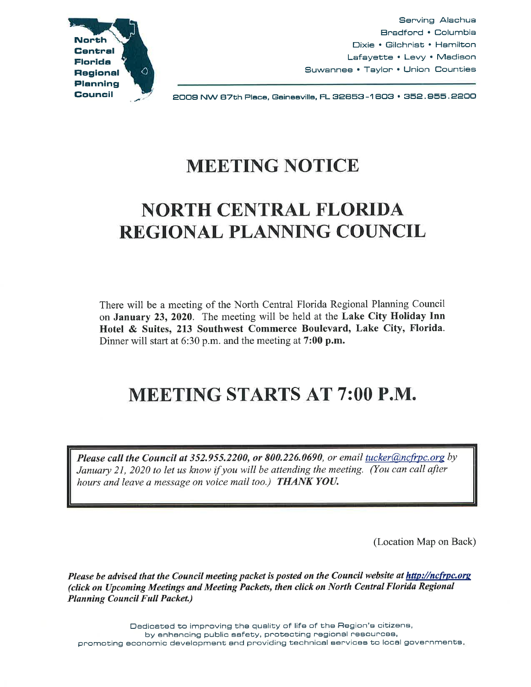

Serving Alachua Bradford • Columbia Dixie • Gilchrist • Hamilton Lafayette • Levy • Madison Suwannee • Taylor • Union Counties

EDDS NW 87th Place, Gaineavilla, FL 32853-1 803 • 35E. 855. 2EOO

## MEETING NOTICE

# NORTH CENTRAL FLORIDA REGIONAL PLANNING COUNCIL

There will be a meeting of the North Central Florida Regional Planning Council on January 23, 2020. The meeting will be held at the Lake City Holiday Inn Hotel & Suites, 213 Southwest Commerce Boulevard, Lake City, Florida. Dinner will start at 6:30 p.m. and the meeting at 7:00 p.m.

# MEETING STARTS AT 7:00 P.M.

*Please call the Council at 352.955.2200, or 800.226.0690, or email tucker@ncfrpc.org by January 21, 2020 to let us know* if *you will be attending the meeting. (You can call after hours and leave a message on voice mail too.) THANK YOU.* 

(Location Map on Back)

*Please be advised that the Council meeting packet is posted on the Council website at http://ncfrpc.org (click on Upcoming Meetings and Meeting Packets, then click on North Central Florida Regional Planning Council Full Packet.)* 

Dedicated to improving the quality of life of the Region's citizens, by enhancing public safety, protecting regional resources, promoting economic development end providing technical services to local governments.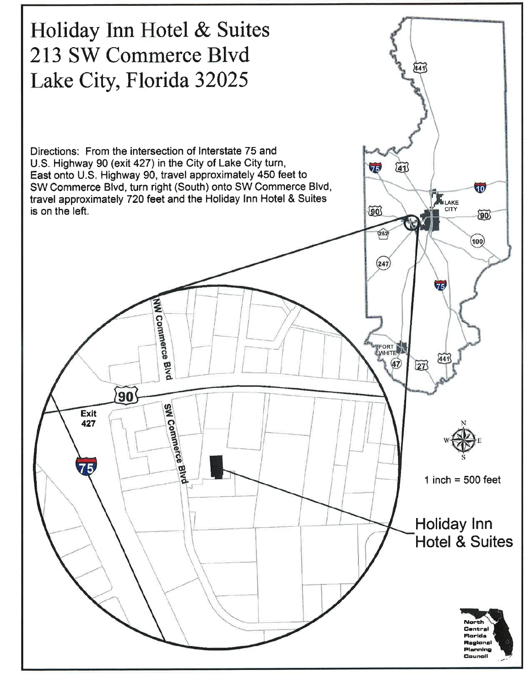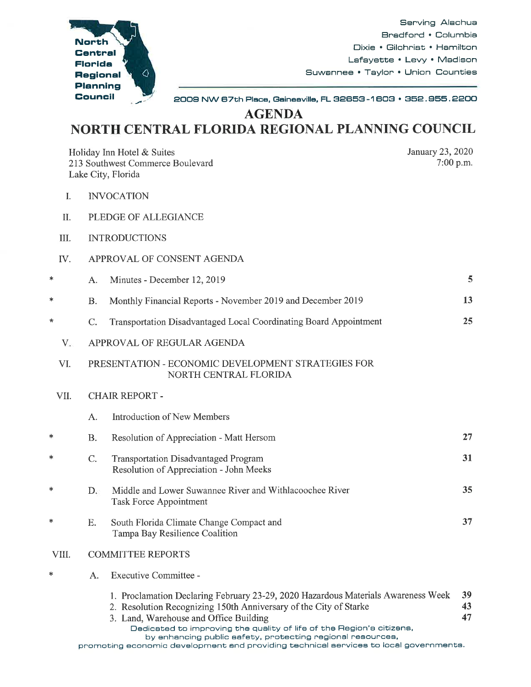

Serving Alachua Bradford • Columbia Dixie • Gilchrist • Hamilton Lafayette • Levy• Madison Suwannee • Taylor • Union Counties

. \_,,,.. , 2008 NW 67th Place, Gainesville, FL 32653-1 603 • 352. 855. 2200

**AGENDA** 

## **NORTH CENTRAL FLORIDA REGIONAL PLANNING COUNCIL**

| Holiday Inn Hotel & Suites<br>213 Southwest Commerce Boulevard<br>Lake City, Florida | January 23, 2020<br>$7:00$ p.m.                                             |                                                                                                                                                                                                                                                                                                                                        |                |  |
|--------------------------------------------------------------------------------------|-----------------------------------------------------------------------------|----------------------------------------------------------------------------------------------------------------------------------------------------------------------------------------------------------------------------------------------------------------------------------------------------------------------------------------|----------------|--|
| Ι.                                                                                   | <b>INVOCATION</b>                                                           |                                                                                                                                                                                                                                                                                                                                        |                |  |
| Π.                                                                                   | PLEDGE OF ALLEGIANCE                                                        |                                                                                                                                                                                                                                                                                                                                        |                |  |
| III.                                                                                 | <b>INTRODUCTIONS</b>                                                        |                                                                                                                                                                                                                                                                                                                                        |                |  |
| IV.                                                                                  | APPROVAL OF CONSENT AGENDA                                                  |                                                                                                                                                                                                                                                                                                                                        |                |  |
| ∗                                                                                    | A.                                                                          | Minutes - December 12, 2019                                                                                                                                                                                                                                                                                                            | 5              |  |
| ∗                                                                                    | <b>B.</b>                                                                   | Monthly Financial Reports - November 2019 and December 2019                                                                                                                                                                                                                                                                            | 13             |  |
| *                                                                                    | C.                                                                          | Transportation Disadvantaged Local Coordinating Board Appointment                                                                                                                                                                                                                                                                      | 25             |  |
| $V_{\star}$                                                                          | APPROVAL OF REGULAR AGENDA                                                  |                                                                                                                                                                                                                                                                                                                                        |                |  |
| VI.                                                                                  | PRESENTATION - ECONOMIC DEVELOPMENT STRATEGIES FOR<br>NORTH CENTRAL FLORIDA |                                                                                                                                                                                                                                                                                                                                        |                |  |
| VII.                                                                                 |                                                                             | <b>CHAIR REPORT -</b>                                                                                                                                                                                                                                                                                                                  |                |  |
|                                                                                      | A.                                                                          | <b>Introduction of New Members</b>                                                                                                                                                                                                                                                                                                     |                |  |
| ∗                                                                                    | <b>B.</b>                                                                   | Resolution of Appreciation - Matt Hersom                                                                                                                                                                                                                                                                                               | 27             |  |
| ∗                                                                                    | C.                                                                          | <b>Transportation Disadvantaged Program</b><br>Resolution of Appreciation - John Meeks                                                                                                                                                                                                                                                 | 31             |  |
| ∗                                                                                    | $D_{\alpha}$                                                                | Middle and Lower Suwannee River and Withlacoochee River<br><b>Task Force Appointment</b>                                                                                                                                                                                                                                               | 35             |  |
| *                                                                                    | Ε.                                                                          | South Florida Climate Change Compact and<br>Tampa Bay Resilience Coalition                                                                                                                                                                                                                                                             | 37             |  |
| VIII.                                                                                | <b>COMMITTEE REPORTS</b>                                                    |                                                                                                                                                                                                                                                                                                                                        |                |  |
| ∗                                                                                    | A.                                                                          | Executive Committee -                                                                                                                                                                                                                                                                                                                  |                |  |
|                                                                                      |                                                                             | 1. Proclamation Declaring February 23-29, 2020 Hazardous Materials Awareness Week<br>2. Resolution Recognizing 150th Anniversary of the City of Starke<br>3. Land, Warehouse and Office Building<br>Dedicated to improving the quality of life of the Region's citizens,<br>by enhancing public safety, protecting regional resources, | 39<br>43<br>47 |  |

promoting economic development end providing technical services to local governments.